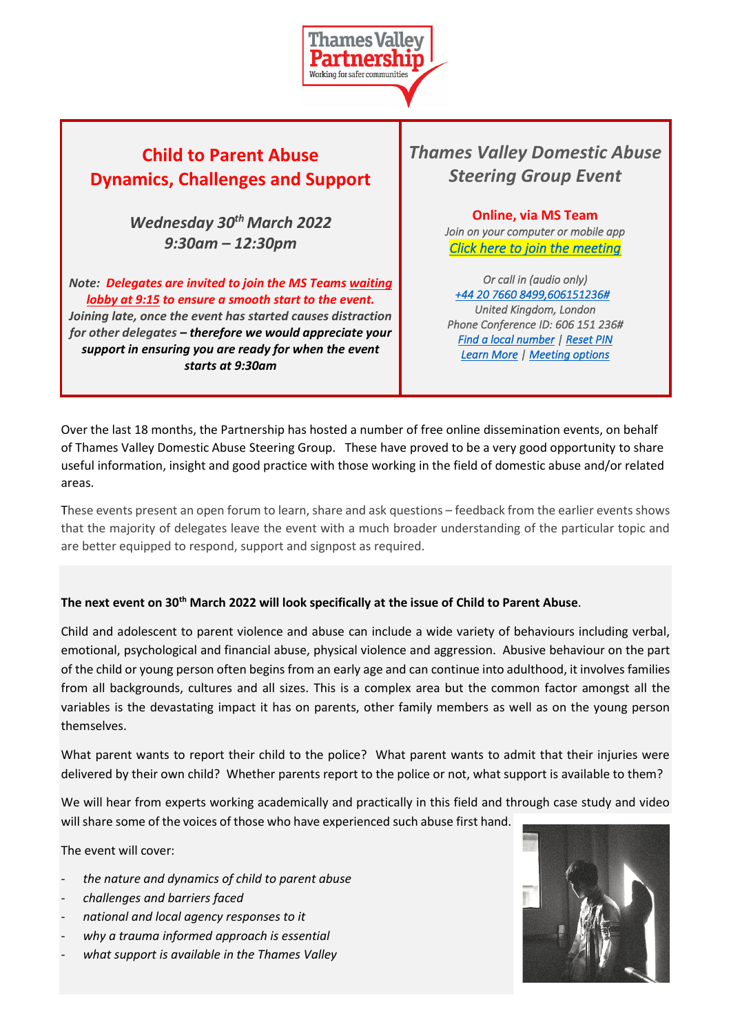

## **Child to Parent Abuse Dynamics, Challenges and Support**

*Wednesday 30th March 2022 9:30am – 12:30pm*

*Note: Delegates are invited to join the MS Teams waiting lobby at 9:15 to ensure a smooth start to the event. Joining late, once the event has started causes distraction for other delegates – therefore we would appreciate your support in ensuring you are ready for when the event starts at 9:30am*

*Thames Valley Domestic Abuse Steering Group Event*

> **Online, via MS Team** *Join on your computer or mobile app Click here to join the meeting*

> *Or call in (audio only) +44 20 7660 8499,606151236# United Kingdom, London Phone Conference ID: 606 151 236# Find a local number | Reset PIN Learn More | Meeting options*

Over the last 18 months, the Partnership has hosted a number of free online dissemination events, on behalf of Thames Valley Domestic Abuse Steering Group. These have proved to be a very good opportunity to share useful information, insight and good practice with those working in the field of domestic abuse and/or related areas.

These events present an open forum to learn, share and ask questions – feedback from the earlier events shows that the majority of delegates leave the event with a much broader understanding of the particular topic and are better equipped to respond, support and signpost as required.

## **The next event on 30th March 2022 will look specifically at the issue of Child to Parent Abuse**.

Child and adolescent to parent violence and abuse can include a wide variety of behaviours including verbal, emotional, psychological and financial abuse, physical violence and aggression. Abusive behaviour on the part of the child or young person often begins from an early age and can continue into adulthood, it involves families from all backgrounds, cultures and all sizes. This is a complex area but the common factor amongst all the variables is the devastating impact it has on parents, other family members as well as on the young person themselves.

What parent wants to report their child to the police? What parent wants to admit that their injuries were delivered by their own child? Whether parents report to the police or not, what support is available to them?

We will hear from experts working academically and practically in this field and through case study and video will share some of the voices of those who have experienced such abuse first hand.

The event will cover:

- *the nature and dynamics of child to parent abuse*
- *challenges and barriers faced*
- *national and local agency responses to it*
- *why a trauma informed approach is essential*
- what support is available in the Thames Valley